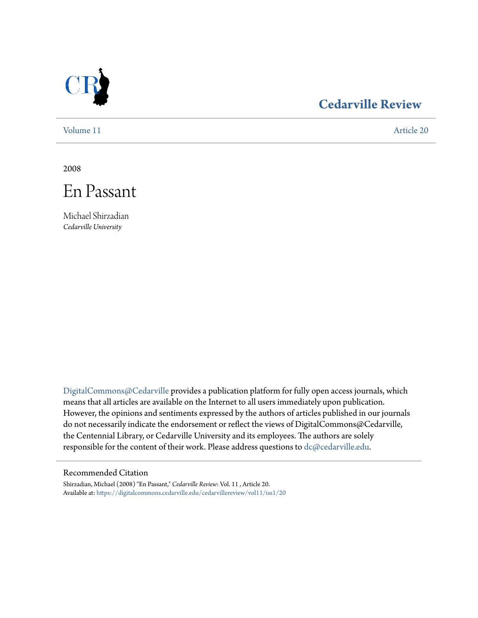

# **[Cedarville Review](https://digitalcommons.cedarville.edu/cedarvillereview?utm_source=digitalcommons.cedarville.edu%2Fcedarvillereview%2Fvol11%2Fiss1%2F20&utm_medium=PDF&utm_campaign=PDFCoverPages)**

[Volume 11](https://digitalcommons.cedarville.edu/cedarvillereview/vol11?utm_source=digitalcommons.cedarville.edu%2Fcedarvillereview%2Fvol11%2Fiss1%2F20&utm_medium=PDF&utm_campaign=PDFCoverPages) [Article 20](https://digitalcommons.cedarville.edu/cedarvillereview/vol11/iss1/20?utm_source=digitalcommons.cedarville.edu%2Fcedarvillereview%2Fvol11%2Fiss1%2F20&utm_medium=PDF&utm_campaign=PDFCoverPages)

2008



Michael Shirzadian *Cedarville University*

[DigitalCommons@Cedarville](http://digitalcommons.cedarville.edu) provides a publication platform for fully open access journals, which means that all articles are available on the Internet to all users immediately upon publication. However, the opinions and sentiments expressed by the authors of articles published in our journals do not necessarily indicate the endorsement or reflect the views of DigitalCommons@Cedarville, the Centennial Library, or Cedarville University and its employees. The authors are solely responsible for the content of their work. Please address questions to [dc@cedarville.edu](mailto:dc@cedarville.edu).

#### Recommended Citation

Shirzadian, Michael (2008) "En Passant," *Cedarville Review*: Vol. 11 , Article 20. Available at: [https://digitalcommons.cedarville.edu/cedarvillereview/vol11/iss1/20](https://digitalcommons.cedarville.edu/cedarvillereview/vol11/iss1/20?utm_source=digitalcommons.cedarville.edu%2Fcedarvillereview%2Fvol11%2Fiss1%2F20&utm_medium=PDF&utm_campaign=PDFCoverPages)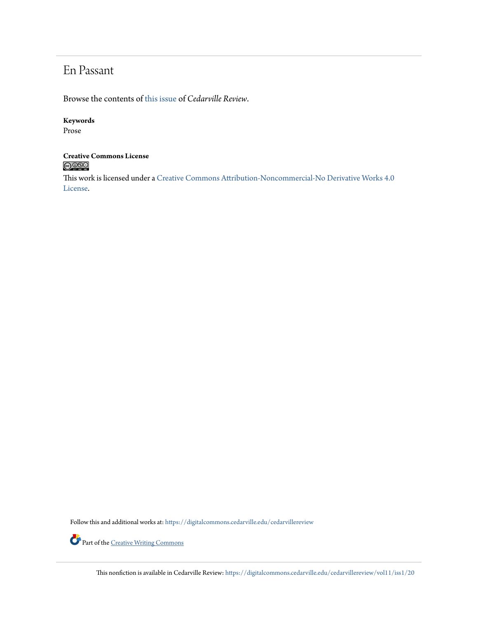# En Passant

Browse the contents of [this issue](https://digitalcommons.cedarville.edu/cedarvillereview/vol11/iss1) of *Cedarville Review*.

### **Keywords**

Prose

# **Creative Commons License**

This work is licensed under a [Creative Commons Attribution-Noncommercial-No Derivative Works 4.0](http://creativecommons.org/licenses/by-nc-nd/4.0/) [License.](http://creativecommons.org/licenses/by-nc-nd/4.0/)

Follow this and additional works at: [https://digitalcommons.cedarville.edu/cedarvillereview](https://digitalcommons.cedarville.edu/cedarvillereview?utm_source=digitalcommons.cedarville.edu%2Fcedarvillereview%2Fvol11%2Fiss1%2F20&utm_medium=PDF&utm_campaign=PDFCoverPages)



Part of the <u>[Creative Writing Commons](http://network.bepress.com/hgg/discipline/574?utm_source=digitalcommons.cedarville.edu%2Fcedarvillereview%2Fvol11%2Fiss1%2F20&utm_medium=PDF&utm_campaign=PDFCoverPages)</u>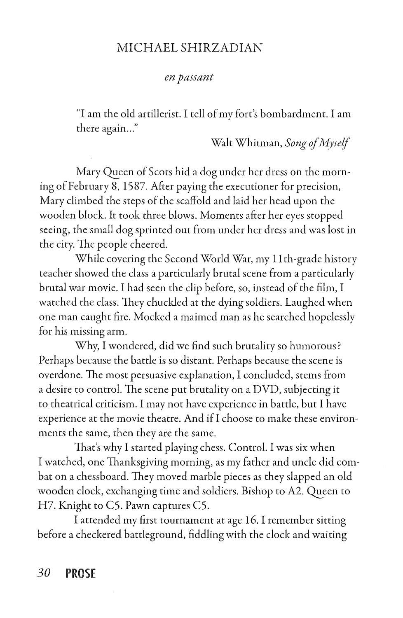## MICHAEL SHIRZADIAN

#### *en passant*

"I am the old artillerist. I tell of my fort's bombardment. I am there again..."

Walt Whitman, *Song of Myself* 

Mary Queen of Scots hid a dog under her dress on the morning of February 8, 1S87. After paying the executioner for precision, Mary climbed the steps of the scaffold and laid her head upon the wooden block. It took three blows. Moments after her eyes stopped seeing, the small dog sprinted out from under her dress and was lost in the city. The people cheered.

While covering the Second World War, my 11th-grade history teacher showed the class a particularly brutal scene from a particularly brutal war movie. I had seen the clip before, so, instead of the film, I watched the class. They chuckled at the dying soldiers. Laughed when one man caught fire. Mocked a maimed man as he searched hopelessly for his missing arm.

Why, I wondered, did we find such brutality so humorous? Perhaps because the battle is so distant. Perhaps because the scene is overdone. The most persuasive explanation, I concluded, stems from a desire to control. The scene put brutality on a DVD, subjecting it to theatrical criticism. I may not have experience in battle, but I have experience at the movie theatre. And if I choose to make these environments the same, then they are the same.

That's why I started playing chess. Control. I was six when I watched, one Thanksgiving morning, as my father and uncle did combat on a chessboard. They moved marble pieces as they slapped an old wooden clock, exchanging time and soldiers. Bishop to A2. Queen to H7. Knight to CS. Pawn captures CS.

I attended my first tournament at age 16. I remember sitting before a checkered battleground, fiddling with the clock and waiting

*30* **PROSE**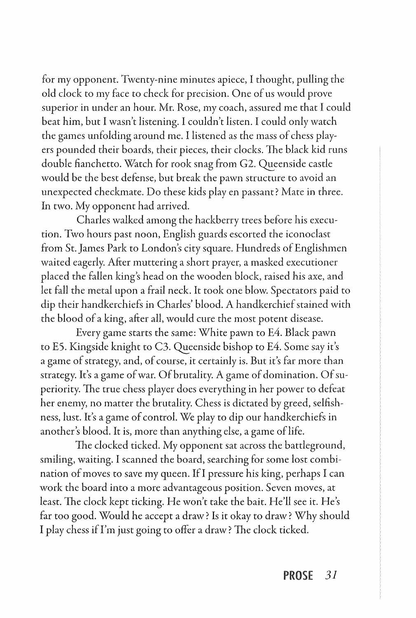for my opponent. Twenty-nine minutes apiece, I thought, pulling the old clock to my face to check for precision. One of us would prove superior in under an hour. Mr. Rose, my coach, assured me that I could beat him, but I wasn't listening. I couldn't listen. I could only watch the games unfolding around me. I listened as the mass of chess players pounded their boards, their pieces, their clocks. The black kid runs double fianchetto. Watch for rook snag from G2. Queenside castle would be the best defense, but break the pawn structure to avoid an unexpected checkmate. Do these kids play en passant? Mate in three. In two. My opponent had arrived.

Charles walked among the hackberry trees before his execution. Two hours past noon, English guards escorted the iconoclast from St. James Park to London's city square. Hundreds of Englishmen waited eagerly. After muttering a short prayer, a masked executioner placed the fallen king's head on the wooden block, raised his axe, and let fall the metal upon a frail neck. It took one blow. Spectators paid to dip their handkerchiefs in Charles' blood. A handkerchief stained with the blood of a king, after all, would cure the most potent disease.

Every game starts the same: White pawn to E4. Black pawn to E5. Kingside knight to C3. Queenside bishop to E4. Some say it's a game of strategy, and, of course, it certainly is. But it's far more than strategy. It's a game of war. Of brutality. A game of domination. Of superiority. The true chess player does everything in her power to defeat her enemy, no matter the brutality. Chess is dictated by greed, selfishness, lust. It's a game of control. We play to dip our handkerchiefs in another's blood. It is, more than anything else, a game of life.

The clocked ticked. My opponent sat across the battleground, smiling, waiting. I scanned the board, searching for some lost combination of moves to save my queen. Ifl pressure his king, perhaps I can work the board into a more advantageous position. Seven moves, at least. The dock kept ticking. He won't take the bait. He'll see it. He's far too good. Would he accept a draw? *Is* it okay to draw? Why should I play chess if I'm just going to offer a draw? The clock ticked.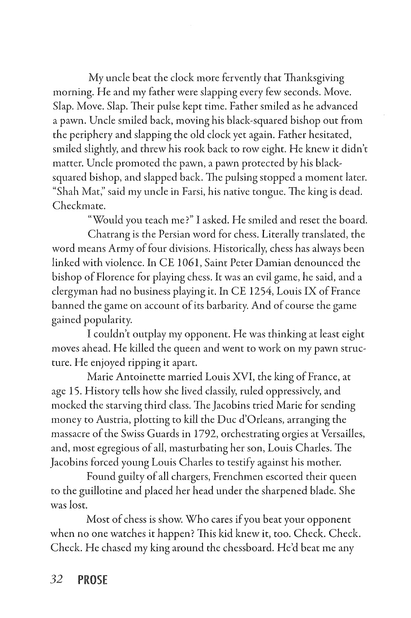My uncle beat the clock more fervently that Thanksgiving morning. He and my father were slapping every few seconds. Move. Slap. Move. Slap. Their pulse kept time. Father smiled as he advanced a pawn. Uncle smiled back, moving his black-squared bishop out from the periphery and slapping the old clock yet again. Father hesitated, smiled slightly, and threw his rook back to row eight. He knew it didn't matter. Uncle promoted the pawn, a pawn protected by his blacksquared bishop, and slapped back. The pulsing stopped a moment later. "Shah Mar:' said my uncle in Farsi, his native tongue. The king is dead. Checkmate.

"Would you teach me?" I asked. He smiled and reset the board.

Chatrang is the Persian word for chess. Literally translated, the word means Army of four divisions. Historically, chess has always been linked with violence. In CE 1061, Saint Peter Damian denounced the bishop of Florence for playing chess. It was an evil game, he said, and a clergyman had no business playing it. In CE 1254, Louis IX of France banned the game on account of its barbarity. And of course the game gained popularity.

I couldn't outplay my opponent. He was thinking at least eight moves ahead. He killed the queen and went to work on my pawn structure. He enjoyed ripping it apart.

Marie Antoinette married Louis XVI, the king of France, at age 15. History tells how she lived classily, ruled oppressively, and mocked the starving third class. The Jacobins tried Marie for sending money to Austria, plotting to kill the Due d'Orleans, arranging the massacre of the Swiss Guards in 1792, orchestrating orgies at Versailles, and, most egregious of all, masturbating her son, Louis Charles. The Jacobins forced young Louis Charles to testify against his mother.

Found guilty of all chargers, Frenchmen escorted their queen to the guillotine and placed her head under the sharpened blade. She was lost.

Most of chess is show. Who cares if you beat your opponent when no one watches it happen? This kid knew it, too. Check. Check. Check. He chased my king around the chessboard. He'd beat me any